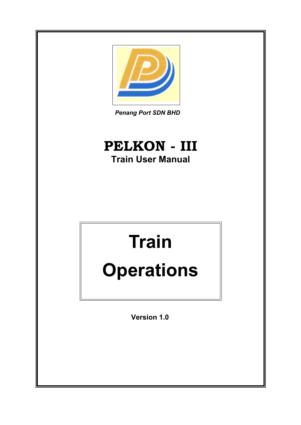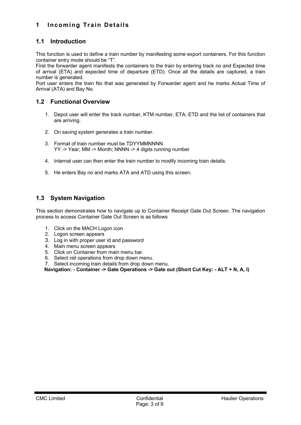# <span id="page-2-0"></span>**1 Incoming Train Details**

## <span id="page-2-3"></span>**1.1 Introduction**

This function is used to define a train number by manifesting some export containers. For this function container entry mode should be "T".

First the forwarder agent manifests the containers to the train by entering track no and Expected time of arrival (ETA) and expected time of departure (ETD). Once all the details are captured, a train number is generated.

Port user enters the train No that was generated by Forwarder agent and he marks Actual Time of Arrival (ATA) and Bay No.

## **1.2 Functional Overview**

- <span id="page-2-2"></span>1. Depot user will enter the track number, KTM number, ETA, ETD and the list of containers that are arriving.
- 2. On saving system generates a train number.
- 3. Format of train number must be TDYYMMNNNN YY -> Year; MM -> Month; NNNN -> 4 digits running number
- 4. Internal user can then enter the train number to modify incoming train details.
- 5. He enters Bay no and marks ATA and ATD using this screen.

## <span id="page-2-1"></span>**1.3 System Navigation**

This section demonstrates how to navigate up to Container Receipt Gate Out Screen. The navigation process to access Container Gate Out Screen is as follows

- 1. Click on the MACH Logon icon
- 2. Logon screen appears
- 3. Log in with proper user id and password
- 4. Main menu screen appears
- 5. Click on Container from main menu bar.
- 6. Select rail operations from drop down menu.
- 7. Select incoming train details from drop down menu.

**Navigation: - Container -> Gate Operations -> Gate out (Short Cut Key: - ALT + N, A, I)**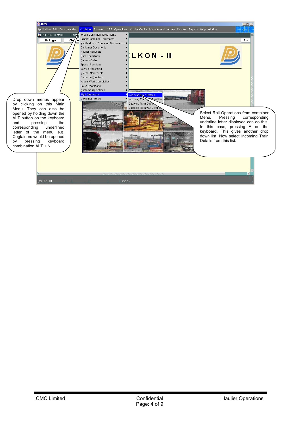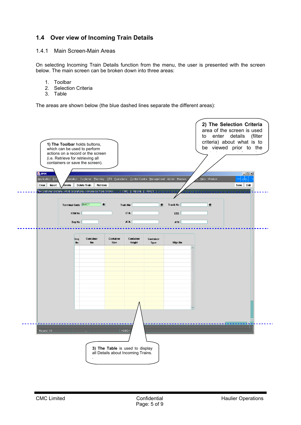# <span id="page-4-1"></span>**1.4 Over view of Incoming Train Details**

#### <span id="page-4-0"></span>1.4.1 Main Screen-Main Areas

On selecting Incoming Train Details function from the menu, the user is presented with the screen below. The main screen can be broken down into three areas:

- 1. Toolbar
- 2. Selection Criteria
- 3. Table

The areas are shown below (the blue dashed lines separate the different areas):

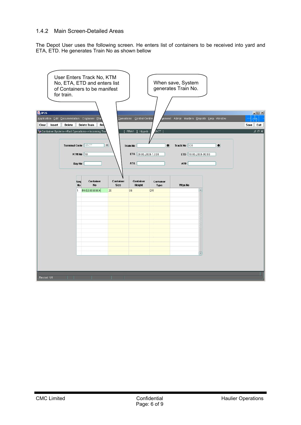#### <span id="page-5-0"></span>1.4.2 Main Screen-Detailed Areas

The Depot User uses the following screen. He enters list of containers to be received into yard and ETA, ETD. He generates Train No as shown bellow

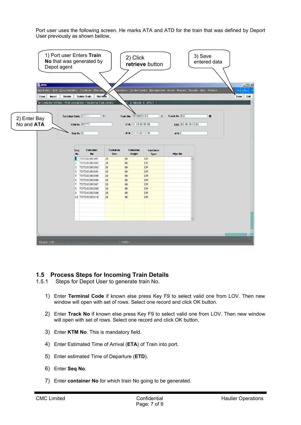Port user uses the following screen. He marks ATA and ATD for the train that was defined by Deport User previously as shown bellow.



## <span id="page-6-1"></span>**1.5 Process Steps for Incoming Train Details**

- <span id="page-6-0"></span>1.5.1 Steps for Depot User to generate train No.
	- 1) Enter **Terminal Code** if known else press Key F9 to select valid one from LOV. Then new window will open with set of rows. Select one record and click OK button.
	- 2) Enter **Track No** if known else press Key F9 to select valid one from LOV. Then new window will open with set of rows. Select one record and click OK button.
	- 3) Enter **KTM No**. This is mandatory field.
	- 4) Enter Estimated Time of Arrival (**ETA**) of Train into port.
	- 5) Enter estimated Time of Departure (**ETD**).
	- 6) Enter **Seq No**.
	- 7) Enter **container No** for which train No going to be generated.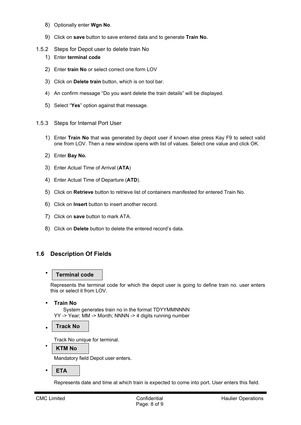- 8) Optionally enter **Wgn No**.
- <span id="page-7-2"></span>9) Click on **save** button to save entered data and to generate **Train No.**
- 1.5.2 Steps for Depot user to delete train No
	- 1) Enter **terminal code**
	- 2) Enter **train No** or select correct one form LOV
	- 3) Click on **Delete train** button, which is on tool bar.
	- 4) An confirm message "Do you want delete the train details" will be displayed.
	- 5) Select "**Yes**" option against that message.
- <span id="page-7-1"></span>1.5.3 Steps for Internal Port User
	- 1) Enter **Train No** that was generated by depot user if known else press Kay F9 to select valid one from LOV. Then a new window opens with list of values. Select one value and click OK.
	- 2) Enter **Bay No.**
	- 3) Enter Actual Time of Arrival (**ATA**)
	- 4) Enter Actual Time of Departure (**ATD**).
	- 5) Click on **Retrieve** button to retrieve list of containers manifested for entered Train No.
	- 6) Click on **Insert** button to insert another record.
	- 7) Click on **save** button to mark ATA.
	- 8) Click on **Delete** button to delete the entered record's data.

## <span id="page-7-0"></span>**1.6 Description Of Fields**

#### • **Terminal code**

Represents the terminal code for which the depot user is going to define train no. user enters this or select it from LOV.

• **Train No**

System generates train no in the format TDYYMMNNNN YY -> Year; MM -> Month; NNNN -> 4 digits running number

• **Track No**

Track No unique for terminal.

• **KTM No**

Mandatory field Depot user enters.

• **ETA**

Represents date and time at which train is expected to come into port. User enters this field.